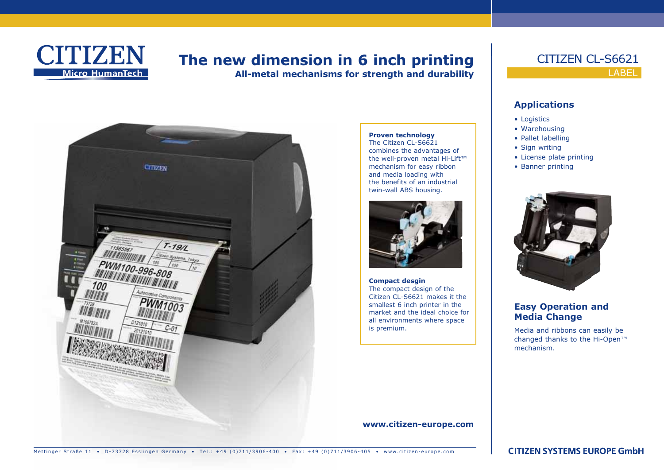

# **The new dimension in 6 inch printing**

**All-metal mechanisms for strength and durability**



#### **Proven technology** The Citizen CL-S6621 combines the advantages of the well-proven metal Hi-Lift™ mechanism for easy ribbon and media loading with the benefits of an industrial twin-wall ABS housing.



**Compact desgin** The compact design of the Citizen CL-S6621 makes it the smallest 6 inch printer in the market and the ideal choice for all environments where space is premium.

**www.citizen-europe.com**

### LABEL CITIZEN CL-S6621

#### **Applications**

- Logistics
- • Warehousing
- Pallet labelling
- Sign writing
- • License plate printing
- Banner printing



#### **Easy Operation and Media Change**

Media and ribbons can easily be changed thanks to the Hi-Open™ mechanism.